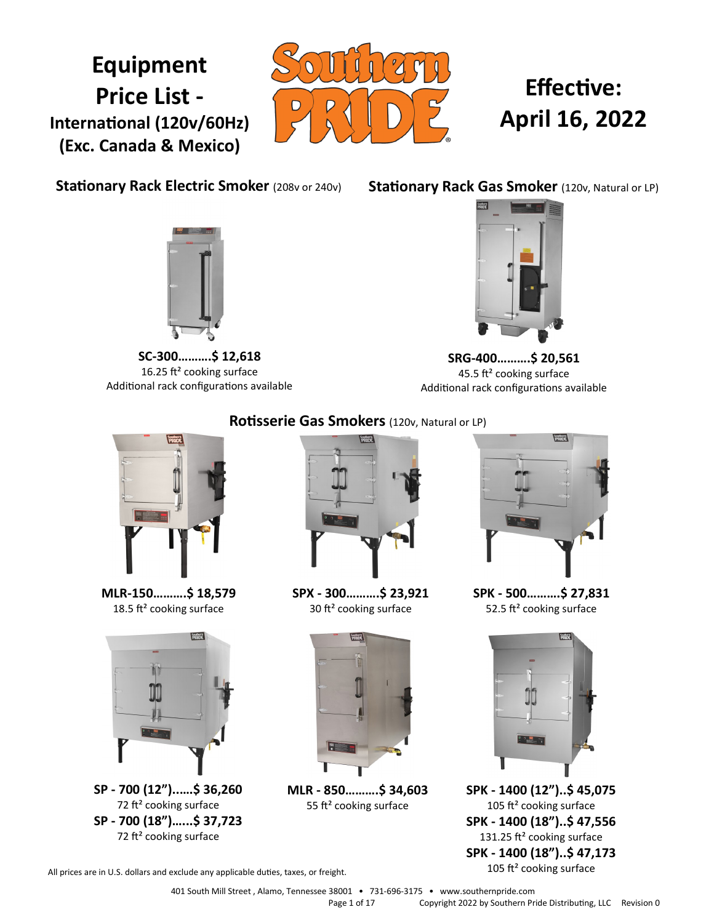## **Equipment Price List - International (120v/60Hz) (Exc. Canada & Mexico)**



# **Effective: April 16, 2022**

**Stationary Rack Electric Smoker (208v or 240v)** 

**Stationary Rack Gas Smoker** (120v, Natural or LP)



**SC-300……….\$ 12,618** 16.25 ft² cooking surface Additional rack configurations available



**SRG-400……….\$ 20,561** 45.5 ft² cooking surface Additional rack configurations available



**MLR-150……….\$ 18,579** 18.5 ft<sup>2</sup> cooking surface



**SP - 700 (12")..….\$ 36,260** 72 ft² cooking surface **SP - 700 (18")…...\$ 37,723** 72 ft² cooking surface

### **Rotisserie Gas Smokers** (120v, Natural or LP)



**SPX - 300……….\$ 23,921** 30 ft² cooking surface



**MLR - 850……….\$ 34,603** 55 ft<sup>2</sup> cooking surface



**SPK - 500……….\$ 27,831** 52.5 ft<sup>2</sup> cooking surface



**SPK - 1400 (12")..\$ 45,075** 105 ft<sup>2</sup> cooking surface **SPK - 1400 (18")..\$ 47,556** 131.25 ft<sup>2</sup> cooking surface **SPK - 1400 (18")..\$ 47,173** 105 ft² cooking surface

All prices are in U.S. dollars and exclude any applicable duties, taxes, or freight.

401 South Mill Street , Alamo, Tennessee 38001 • 731-696-3175 • www.southernpride.com Page 1 of 17 Copyright 2022 by Southern Pride Distributing, LLC Revision 0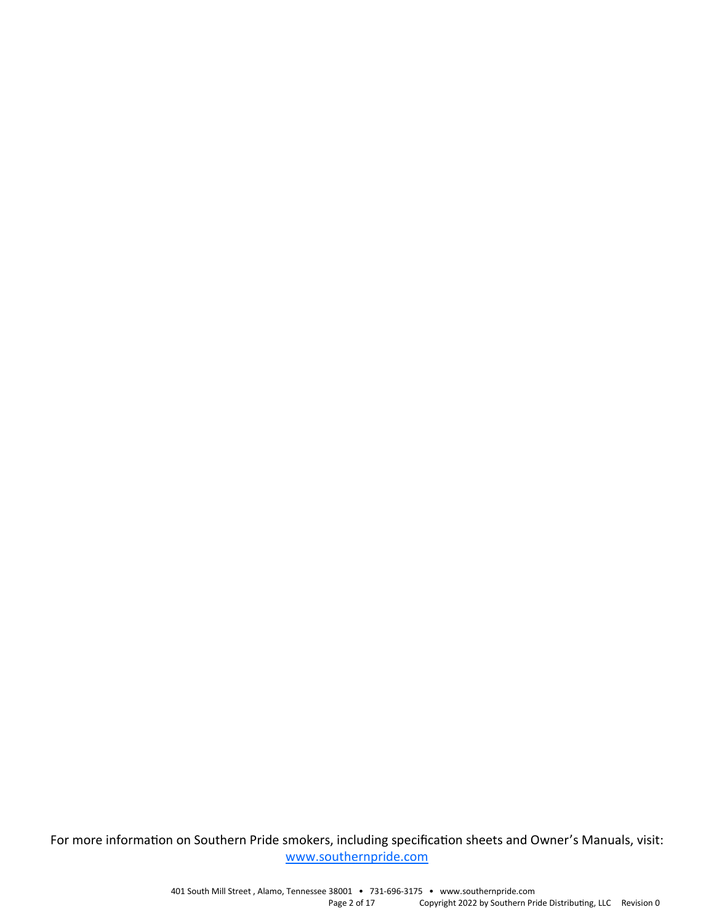For more information on Southern Pride smokers, including specification sheets and Owner's Manuals, visit: [www.southernpride.com](http://www.southernpride.com)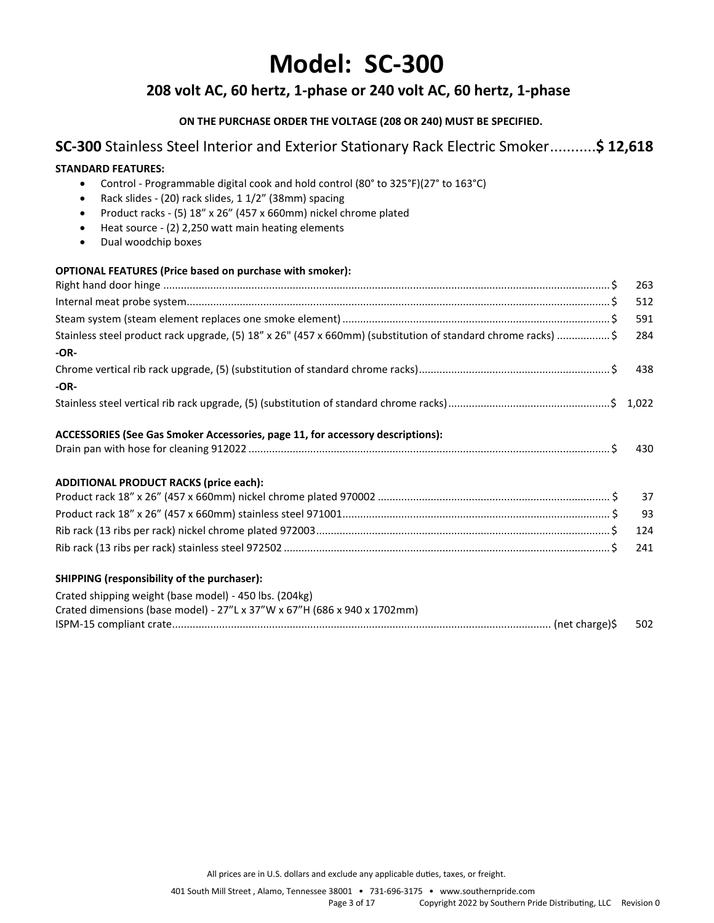## **Model: SC-300**

### **208 volt AC, 60 hertz, 1-phase or 240 volt AC, 60 hertz, 1-phase**

#### **ON THE PURCHASE ORDER THE VOLTAGE (208 OR 240) MUST BE SPECIFIED.**

### **SC-300** Stainless Steel Interior and Exterior Stationary Rack Electric Smoker...........**\$ 12,618**

#### **STANDARD FEATURES:**

- Control Programmable digital cook and hold control (80° to 325°F)(27° to 163°C)
- Rack slides (20) rack slides, 1 1/2" (38mm) spacing
- Product racks (5) 18" x 26" (457 x 660mm) nickel chrome plated
- Heat source (2) 2,250 watt main heating elements
- Dual woodchip boxes

| <b>OPTIONAL FEATURES (Price based on purchase with smoker):</b>                                              |     |
|--------------------------------------------------------------------------------------------------------------|-----|
|                                                                                                              | 263 |
|                                                                                                              | 512 |
|                                                                                                              | 591 |
| Stainless steel product rack upgrade, (5) 18" x 26" (457 x 660mm) (substitution of standard chrome racks) \$ | 284 |
| $-OR-$                                                                                                       |     |
|                                                                                                              | 438 |
| $-OR-$                                                                                                       |     |
|                                                                                                              |     |
| ACCESSORIES (See Gas Smoker Accessories, page 11, for accessory descriptions):                               |     |
|                                                                                                              | 430 |
| <b>ADDITIONAL PRODUCT RACKS (price each):</b>                                                                |     |
|                                                                                                              | 37  |
|                                                                                                              | 93  |
|                                                                                                              | 124 |
|                                                                                                              | 241 |
| SHIPPING (responsibility of the purchaser):                                                                  |     |
| Crated shipping weight (base model) - 450 lbs. (204kg)                                                       |     |
| Crated dimensions (base model) - 27"L x 37"W x 67"H (686 x 940 x 1702mm)                                     |     |
|                                                                                                              | 502 |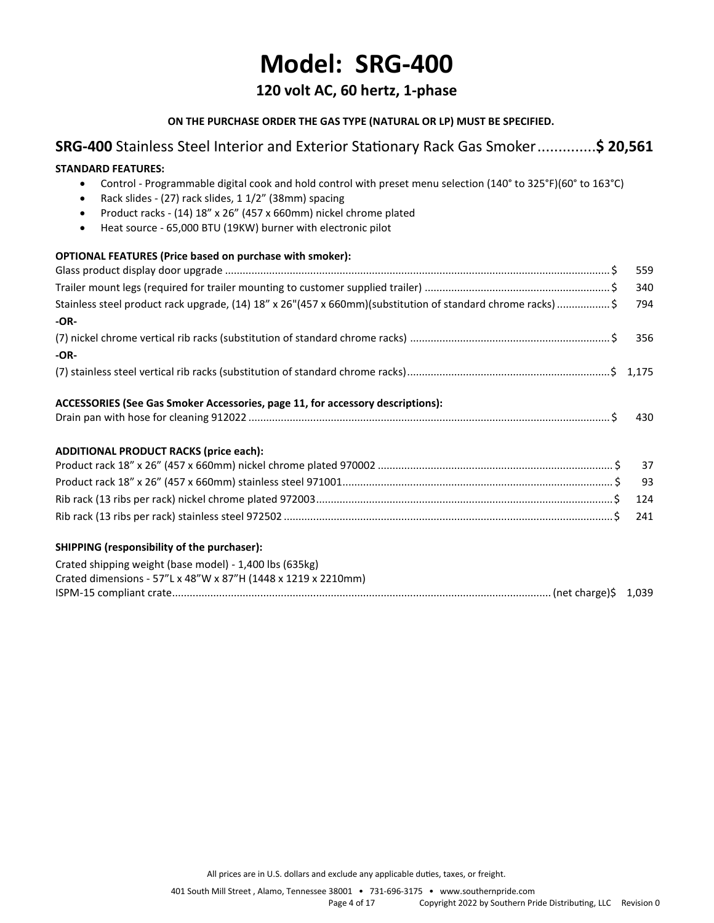## **Model: SRG-400**

### **120 volt AC, 60 hertz, 1-phase**

#### **ON THE PURCHASE ORDER THE GAS TYPE (NATURAL OR LP) MUST BE SPECIFIED.**

### **SRG-400** Stainless Steel Interior and Exterior Stationary Rack Gas Smoker..............**\$ 20,561**

## **STANDARD FEATURES:**  • Control - Programmable digital cook and hold control with preset menu selection (140° to 325°F)(60° to 163°C) • Rack slides - (27) rack slides, 1 1/2" (38mm) spacing • Product racks - (14) 18" x 26" (457 x 660mm) nickel chrome plated • Heat source - 65,000 BTU (19KW) burner with electronic pilot **OPTIONAL FEATURES (Price based on purchase with smoker):** Glass product display door upgrade ................................................................................................................................... \$ 559 Trailer mount legs (required for trailer mounting to customer supplied trailer) ............................................................... \$ 340 Stainless steel product rack upgrade, (14) 18" x 26"(457 x 660mm)(substitution of standard chrome racks).................. \$ 794 **-OR-** (7) nickel chrome vertical rib racks (substitution of standard chrome racks) .................................................................... \$ 356 **-OR-** (7) stainless steel vertical rib racks (substitution of standard chrome racks).....................................................................\$ 1,175 **ACCESSORIES (See Gas Smoker Accessories, page 11, for accessory descriptions):** Drain pan with hose for cleaning 912022 ........................................................................................................................... \$ 430 **ADDITIONAL PRODUCT RACKS (price each):** Product rack 18" x 26" (457 x 660mm) nickel chrome plated 970002 ................................................................................ \$ 37 Product rack 18" x 26" (457 x 660mm) stainless steel 971001............................................................................................ \$ 93 Rib rack (13 ribs per rack) nickel chrome plated 972003.....................................................................................................\$ 124 Rib rack (13 ribs per rack) stainless steel 972502 ................................................................................................................\$ 241 **SHIPPING (responsibility of the purchaser):** Crated shipping weight (base model) - 1,400 lbs (635kg) Crated dimensions - 57"L x 48"W x 87"H (1448 x 1219 x 2210mm) ISPM-15 compliant crate................................................................................................................................. (net charge)\$ 1,039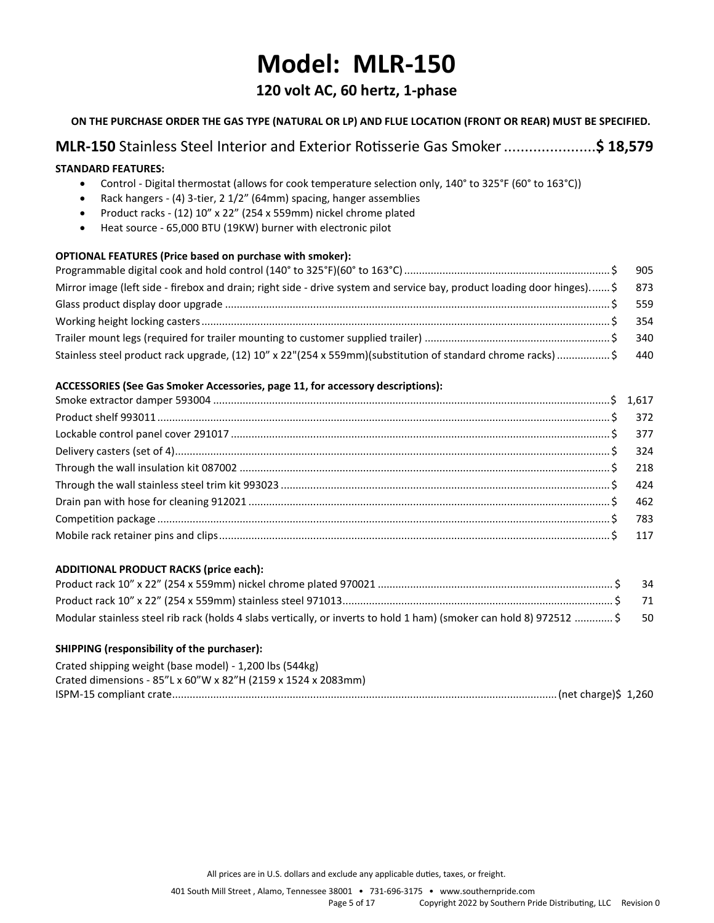## **Model: MLR-150**

### **120 volt AC, 60 hertz, 1-phase**

#### **ON THE PURCHASE ORDER THE GAS TYPE (NATURAL OR LP) AND FLUE LOCATION (FRONT OR REAR) MUST BE SPECIFIED.**

## **MLR-150** Stainless Steel Interior and Exterior Rotisserie Gas Smoker......................**\$ 18,579**

#### **STANDARD FEATURES:**

- Control Digital thermostat (allows for cook temperature selection only, 140° to 325°F (60° to 163°C))
- Rack hangers (4) 3-tier, 2 1/2" (64mm) spacing, hanger assemblies
- Product racks (12) 10" x 22" (254 x 559mm) nickel chrome plated
- Heat source 65,000 BTU (19KW) burner with electronic pilot

#### **OPTIONAL FEATURES (Price based on purchase with smoker):**

| Mirror image (left side - firebox and drain; right side - drive system and service bay, product loading door hinges) \$ 873 |  |
|-----------------------------------------------------------------------------------------------------------------------------|--|
|                                                                                                                             |  |
|                                                                                                                             |  |
|                                                                                                                             |  |
| Stainless steel product rack upgrade, (12) 10" x 22"(254 x 559mm)(substitution of standard chrome racks) \$ 440             |  |

#### **ACCESSORIES (See Gas Smoker Accessories, page 11, for accessory descriptions):**

#### **ADDITIONAL PRODUCT RACKS (price each):**

|                                                                                                                     | - 34 |
|---------------------------------------------------------------------------------------------------------------------|------|
|                                                                                                                     | - 71 |
| Modular stainless steel rib rack (holds 4 slabs vertically, or inverts to hold 1 ham) (smoker can hold 8) 972512 \$ | - 50 |

#### **SHIPPING (responsibility of the purchaser):**

| Crated shipping weight (base model) - 1,200 lbs (544kg)       |  |
|---------------------------------------------------------------|--|
| Crated dimensions - 85"L x 60"W x 82"H (2159 x 1524 x 2083mm) |  |
|                                                               |  |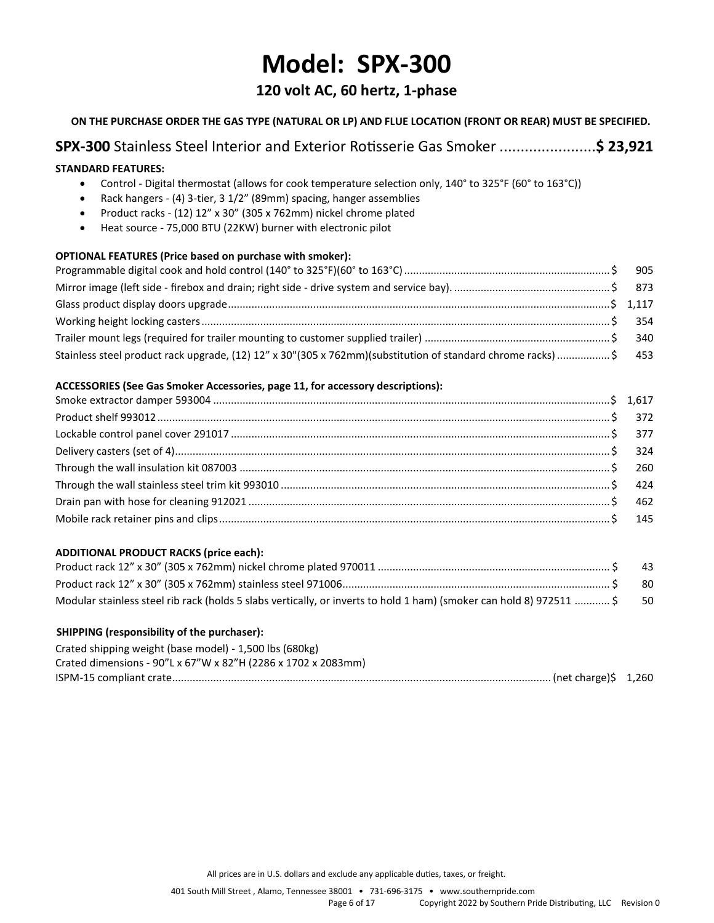## **Model: SPX-300**

### **120 volt AC, 60 hertz, 1-phase**

#### **ON THE PURCHASE ORDER THE GAS TYPE (NATURAL OR LP) AND FLUE LOCATION (FRONT OR REAR) MUST BE SPECIFIED.**

## **SPX-300** Stainless Steel Interior and Exterior Rotisserie Gas Smoker .......................**\$ 23,921**

#### **STANDARD FEATURES:**

- Control Digital thermostat (allows for cook temperature selection only, 140° to 325°F (60° to 163°C))
- Rack hangers (4) 3-tier, 3 1/2" (89mm) spacing, hanger assemblies
- Product racks (12) 12" x 30" (305 x 762mm) nickel chrome plated
- Heat source 75,000 BTU (22KW) burner with electronic pilot

#### **OPTIONAL FEATURES (Price based on purchase with smoker):**

| Stainless steel product rack upgrade, (12) 12" x 30"(305 x 762mm)(substitution of standard chrome racks) \$ 453 |  |
|-----------------------------------------------------------------------------------------------------------------|--|

#### **ACCESSORIES (See Gas Smoker Accessories, page 11, for accessory descriptions):**

#### **ADDITIONAL PRODUCT RACKS (price each):**

|                                                                                                                         | -43  |
|-------------------------------------------------------------------------------------------------------------------------|------|
|                                                                                                                         | - 80 |
| Modular stainless steel rib rack (holds 5 slabs vertically, or inverts to hold 1 ham) (smoker can hold 8) 972511  \$ 50 |      |

#### **SHIPPING (responsibility of the purchaser):**

| Crated shipping weight (base model) - 1,500 lbs (680kg)       |  |
|---------------------------------------------------------------|--|
| Crated dimensions - 90"L x 67"W x 82"H (2286 x 1702 x 2083mm) |  |
|                                                               |  |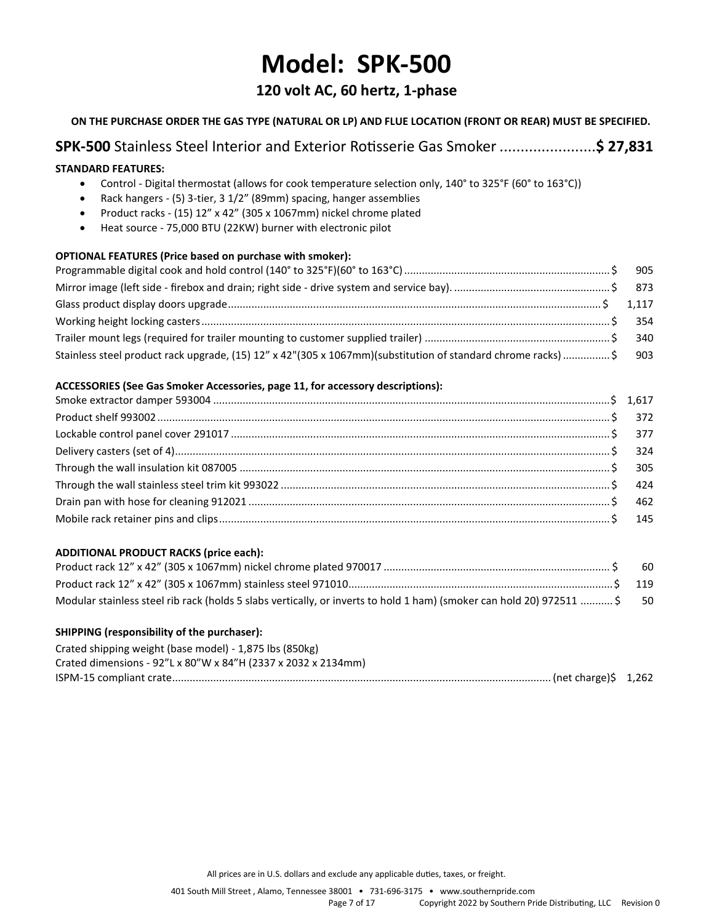## **Model: SPK-500**

## **120 volt AC, 60 hertz, 1-phase**

#### **ON THE PURCHASE ORDER THE GAS TYPE (NATURAL OR LP) AND FLUE LOCATION (FRONT OR REAR) MUST BE SPECIFIED.**

## **SPK-500** Stainless Steel Interior and Exterior Rotisserie Gas Smoker .......................**\$ 27,831**

#### **STANDARD FEATURES:**

- Control Digital thermostat (allows for cook temperature selection only, 140° to 325°F (60° to 163°C))
- Rack hangers (5) 3-tier, 3 1/2" (89mm) spacing, hanger assemblies
- Product racks (15) 12" x 42" (305 x 1067mm) nickel chrome plated
- Heat source 75,000 BTU (22KW) burner with electronic pilot

#### **OPTIONAL FEATURES (Price based on purchase with smoker):**

| Stainless steel product rack upgrade, (15) 12" x 42"(305 x 1067mm)(substitution of standard chrome racks)\$ 903 |  |
|-----------------------------------------------------------------------------------------------------------------|--|

#### **ACCESSORIES (See Gas Smoker Accessories, page 11, for accessory descriptions):**

#### **ADDITIONAL PRODUCT RACKS (price each):**

|                                                                                                                          | - 60 |
|--------------------------------------------------------------------------------------------------------------------------|------|
|                                                                                                                          |      |
| Modular stainless steel rib rack (holds 5 slabs vertically, or inverts to hold 1 ham) (smoker can hold 20) 972511  \$ 50 |      |

#### **SHIPPING (responsibility of the purchaser):**

| Crated shipping weight (base model) - 1,875 lbs (850kg)       |  |
|---------------------------------------------------------------|--|
| Crated dimensions - 92"L x 80"W x 84"H (2337 x 2032 x 2134mm) |  |
|                                                               |  |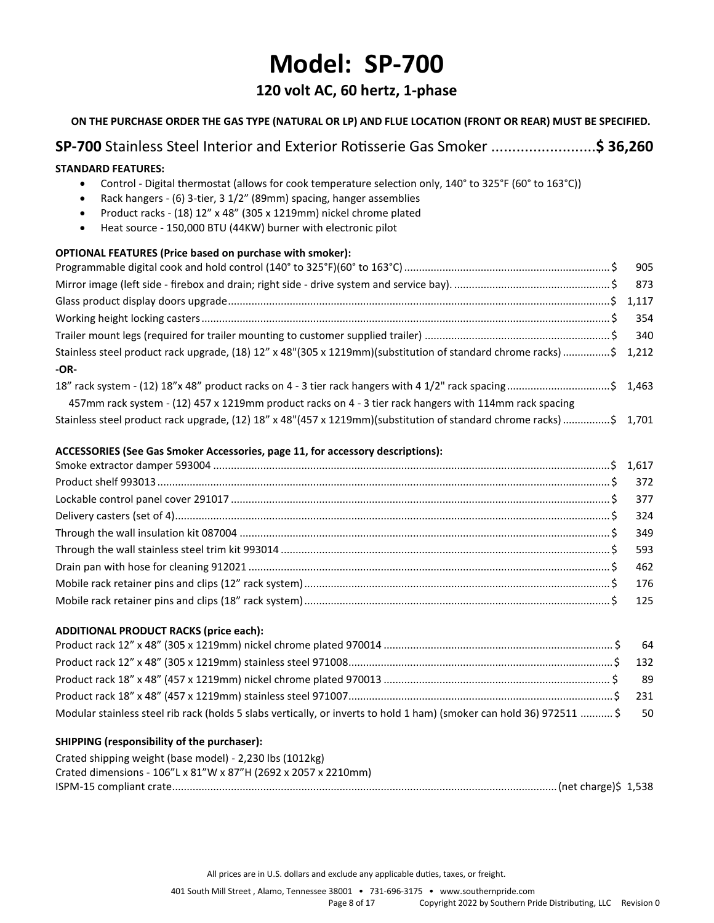## **Model: SP-700**

### **120 volt AC, 60 hertz, 1-phase**

**ON THE PURCHASE ORDER THE GAS TYPE (NATURAL OR LP) AND FLUE LOCATION (FRONT OR REAR) MUST BE SPECIFIED.**

## **SP-700** Stainless Steel Interior and Exterior Rotisserie Gas Smoker .........................**\$ 36,260 STANDARD FEATURES:**  • Control - Digital thermostat (allows for cook temperature selection only, 140° to 325°F (60° to 163°C)) • Rack hangers - (6) 3-tier, 3 1/2" (89mm) spacing, hanger assemblies • Product racks - (18) 12" x 48" (305 x 1219mm) nickel chrome plated • Heat source - 150,000 BTU (44KW) burner with electronic pilot **OPTIONAL FEATURES (Price based on purchase with smoker):** Programmable digital cook and hold control (140° to 325°F)(60° to 163°C)...................................................................... \$ 905 Mirror image (left side - firebox and drain; right side - drive system and service bay). ..................................................... \$ 873 Glass product display doors upgrade..................................................................................................................................\$ 1,117 Working height locking casters........................................................................................................................................... \$ 354 Trailer mount legs (required for trailer mounting to customer supplied trailer) ............................................................... \$ 340 Stainless steel product rack upgrade, (18) 12" x 48"(305 x 1219mm)(substitution of standard chrome racks)................\$ 1,212 **-OR-**18" rack system - (12) 18"x 48" product racks on 4 - 3 tier rack hangers with 4 1/2" rack spacing...................................\$ 1,463 457mm rack system - (12) 457 x 1219mm product racks on 4 - 3 tier rack hangers with 114mm rack spacing Stainless steel product rack upgrade, (12) 18" x 48"(457 x 1219mm)(substitution of standard chrome racks)................\$ 1,701 **ACCESSORIES (See Gas Smoker Accessories, page 11, for accessory descriptions):** Smoke extractor damper 593004 .......................................................................................................................................\$ 1,617 Product shelf 993013.......................................................................................................................................................... \$ 372 Lockable control panel cover 291017 ................................................................................................................................. \$ 377 Delivery casters (set of 4).................................................................................................................................................... \$ 324 Through the wall insulation kit 087004 .............................................................................................................................. \$ 349 Through the wall stainless steel trim kit 993014 ................................................................................................................ \$ 593 Drain pan with hose for cleaning 912021 ........................................................................................................................... \$ 462 Mobile rack retainer pins and clips (12" rack system)........................................................................................................ \$ 176 Mobile rack retainer pins and clips (18" rack system)........................................................................................................ \$ 125 **ADDITIONAL PRODUCT RACKS (price each):** Product rack 12" x 48" (305 x 1219mm) nickel chrome plated 970014 .............................................................................. \$ 64 Product rack 12" x 48" (305 x 1219mm) stainless steel 971008..........................................................................................\$ 132 Product rack 18" x 48" (457 x 1219mm) nickel chrome plated 970013 ............................................................................. \$ 89 Product rack 18" x 48" (457 x 1219mm) stainless steel 971007..........................................................................................\$ 231 Modular stainless steel rib rack (holds 5 slabs vertically, or inverts to hold 1 ham) (smoker can hold 36) 972511 ........... \$ 50 **SHIPPING (responsibility of the purchaser):**

| Crated shipping weight (base model) - 2,230 lbs (1012kg)       |  |
|----------------------------------------------------------------|--|
| Crated dimensions - 106"L x 81"W x 87"H (2692 x 2057 x 2210mm) |  |
|                                                                |  |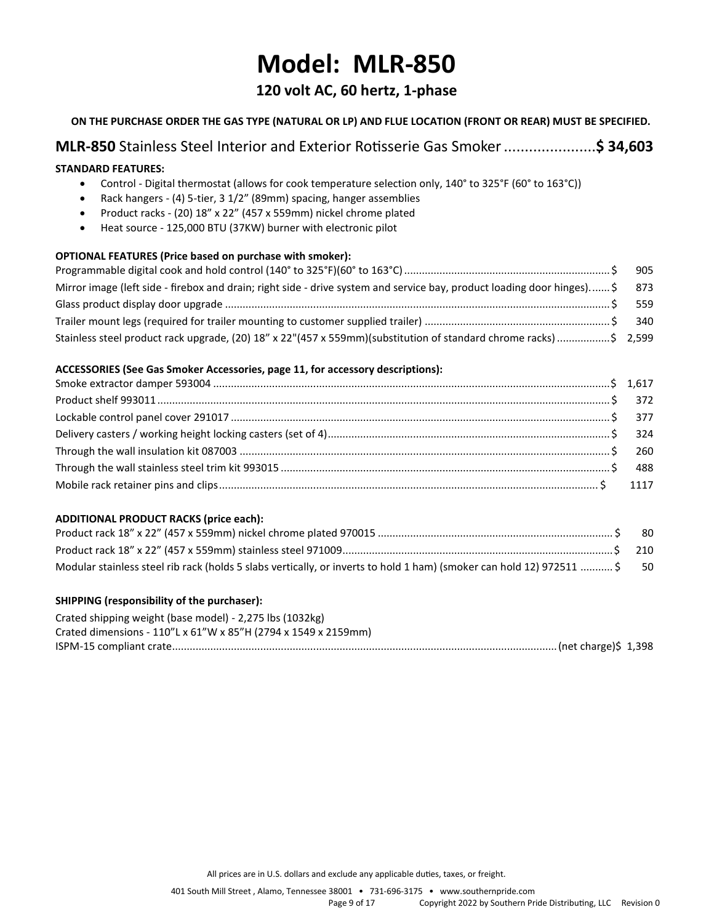## **Model: MLR-850**

### **120 volt AC, 60 hertz, 1-phase**

#### **ON THE PURCHASE ORDER THE GAS TYPE (NATURAL OR LP) AND FLUE LOCATION (FRONT OR REAR) MUST BE SPECIFIED.**

## **MLR-850** Stainless Steel Interior and Exterior Rotisserie Gas Smoker......................**\$ 34,603**

#### **STANDARD FEATURES:**

- Control Digital thermostat (allows for cook temperature selection only, 140° to 325°F (60° to 163°C))
- Rack hangers (4) 5-tier, 3 1/2" (89mm) spacing, hanger assemblies
- Product racks (20) 18" x 22" (457 x 559mm) nickel chrome plated
- Heat source 125,000 BTU (37KW) burner with electronic pilot

#### **OPTIONAL FEATURES (Price based on purchase with smoker):**

| Mirror image (left side - firebox and drain; right side - drive system and service bay, product loading door hinges)\$ 873 |  |
|----------------------------------------------------------------------------------------------------------------------------|--|
|                                                                                                                            |  |
|                                                                                                                            |  |
| Stainless steel product rack upgrade, (20) 18" x 22"(457 x 559mm)(substitution of standard chrome racks) \$ 2,599          |  |

#### **ACCESSORIES (See Gas Smoker Accessories, page 11, for accessory descriptions):**

#### **ADDITIONAL PRODUCT RACKS (price each):**

|                                                                                                                       | -80  |
|-----------------------------------------------------------------------------------------------------------------------|------|
|                                                                                                                       |      |
| Modular stainless steel rib rack (holds 5 slabs vertically, or inverts to hold 1 ham) (smoker can hold 12) 972511  \$ | - 50 |

#### **SHIPPING (responsibility of the purchaser):**

| Crated shipping weight (base model) - 2,275 lbs (1032kg)       |  |
|----------------------------------------------------------------|--|
| Crated dimensions - 110"L x 61"W x 85"H (2794 x 1549 x 2159mm) |  |
|                                                                |  |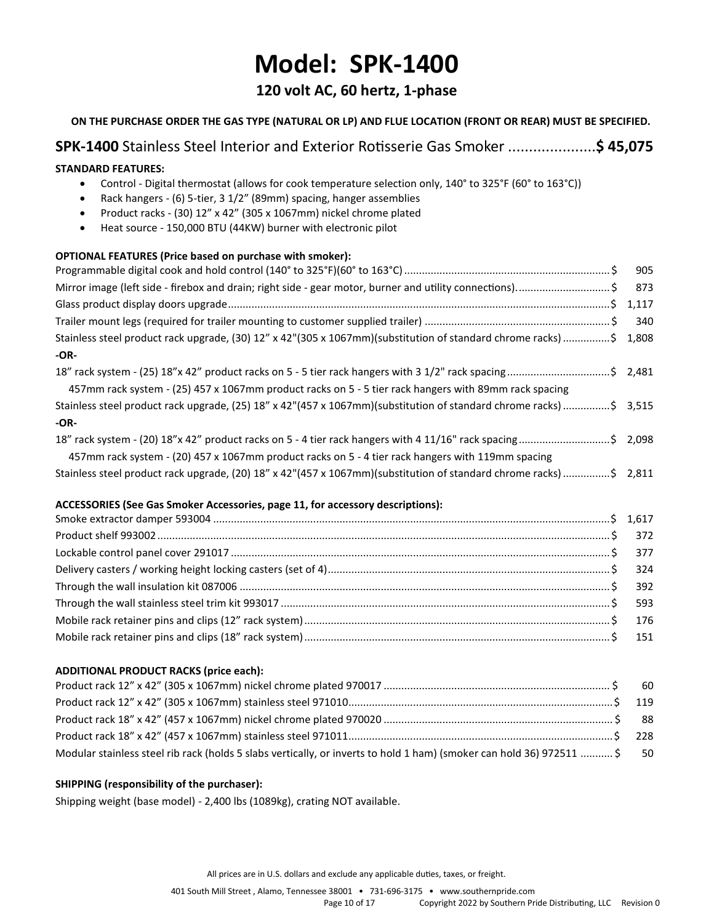## **Model: SPK-1400**

## **120 volt AC, 60 hertz, 1-phase**

**ON THE PURCHASE ORDER THE GAS TYPE (NATURAL OR LP) AND FLUE LOCATION (FRONT OR REAR) MUST BE SPECIFIED. SPK-1400** Stainless Steel Interior and Exterior Rotisserie Gas Smoker .....................**\$ 45,075 STANDARD FEATURES:**  • Control - Digital thermostat (allows for cook temperature selection only, 140° to 325°F (60° to 163°C)) • Rack hangers - (6) 5-tier, 3 1/2" (89mm) spacing, hanger assemblies • Product racks - (30) 12" x 42" (305 x 1067mm) nickel chrome plated • Heat source - 150,000 BTU (44KW) burner with electronic pilot **OPTIONAL FEATURES (Price based on purchase with smoker):** Programmable digital cook and hold control (140° to 325°F)(60° to 163°C)...................................................................... \$ 905 Mirror image (left side - firebox and drain; right side - gear motor, burner and utility connections)................................ \$ 873 Glass product display doors upgrade..................................................................................................................................\$ 1,117 Trailer mount legs (required for trailer mounting to customer supplied trailer) ............................................................... \$ 340 Stainless steel product rack upgrade, (30) 12" x 42"(305 x 1067mm)(substitution of standard chrome racks)................\$ 1,808 **-OR-**18" rack system - (25) 18"x 42" product racks on 5 - 5 tier rack hangers with 3 1/2" rack spacing...................................\$ 2,481 457mm rack system - (25) 457 x 1067mm product racks on 5 - 5 tier rack hangers with 89mm rack spacing Stainless steel product rack upgrade, (25) 18" x 42"(457 x 1067mm)(substitution of standard chrome racks)................\$ 3,515 **-OR-**18" rack system - (20) 18"x 42" product racks on 5 - 4 tier rack hangers with 4 11/16" rack spacing...............................\$ 2,098 457mm rack system - (20) 457 x 1067mm product racks on 5 - 4 tier rack hangers with 119mm spacing Stainless steel product rack upgrade, (20) 18" x 42"(457 x 1067mm)(substitution of standard chrome racks)................\$ 2,811

#### **ACCESSORIES (See Gas Smoker Accessories, page 11, for accessory descriptions):**

#### **ADDITIONAL PRODUCT RACKS (price each):**

| Modular stainless steel rib rack (holds 5 slabs vertically, or inverts to hold 1 ham) (smoker can hold 36) 972511  \$ 50 |  |
|--------------------------------------------------------------------------------------------------------------------------|--|

#### **SHIPPING (responsibility of the purchaser):**

Shipping weight (base model) - 2,400 lbs (1089kg), crating NOT available.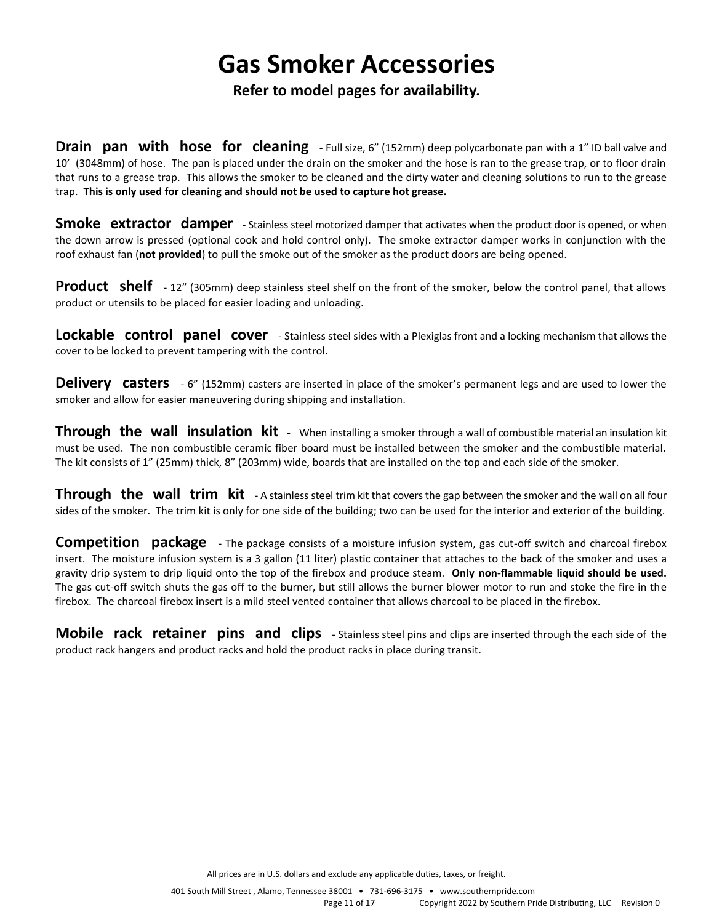## **Gas Smoker Accessories**

### **Refer to model pages for availability.**

**Drain pan with hose for cleaning** - Full size, 6" (152mm) deep polycarbonate pan with a 1" ID ball valve and 10' (3048mm) of hose. The pan is placed under the drain on the smoker and the hose is ran to the grease trap, or to floor drain that runs to a grease trap. This allows the smoker to be cleaned and the dirty water and cleaning solutions to run to the grease trap. **This is only used for cleaning and should not be used to capture hot grease.**

**Smoke extractor damper** - Stainless steel motorized damper that activates when the product door is opened, or when the down arrow is pressed (optional cook and hold control only). The smoke extractor damper works in conjunction with the roof exhaust fan (**not provided**) to pull the smoke out of the smoker as the product doors are being opened.

**Product** shelf - 12" (305mm) deep stainless steel shelf on the front of the smoker, below the control panel, that allows product or utensils to be placed for easier loading and unloading.

**Lockable control panel cover** - Stainless steel sides with a Plexiglas front and a locking mechanism that allows the cover to be locked to prevent tampering with the control.

**Delivery** casters  $-6$ " (152mm) casters are inserted in place of the smoker's permanent legs and are used to lower the smoker and allow for easier maneuvering during shipping and installation.

**Through the wall insulation kit** - When installing a smoker through a wall of combustible material an insulation kit must be used. The non combustible ceramic fiber board must be installed between the smoker and the combustible material. The kit consists of 1" (25mm) thick, 8" (203mm) wide, boards that are installed on the top and each side of the smoker.

**Through the wall trim kit** - A stainless steel trim kit that covers the gap between the smoker and the wall on all four sides of the smoker. The trim kit is only for one side of the building; two can be used for the interior and exterior of the building.

**Competition package** - The package consists of a moisture infusion system, gas cut-off switch and charcoal firebox insert. The moisture infusion system is a 3 gallon (11 liter) plastic container that attaches to the back of the smoker and uses a gravity drip system to drip liquid onto the top of the firebox and produce steam. **Only non-flammable liquid should be used.** The gas cut-off switch shuts the gas off to the burner, but still allows the burner blower motor to run and stoke the fire in the firebox. The charcoal firebox insert is a mild steel vented container that allows charcoal to be placed in the firebox.

**Mobile rack retainer pins and clips** - Stainless steel pins and clips are inserted through the each side of the product rack hangers and product racks and hold the product racks in place during transit.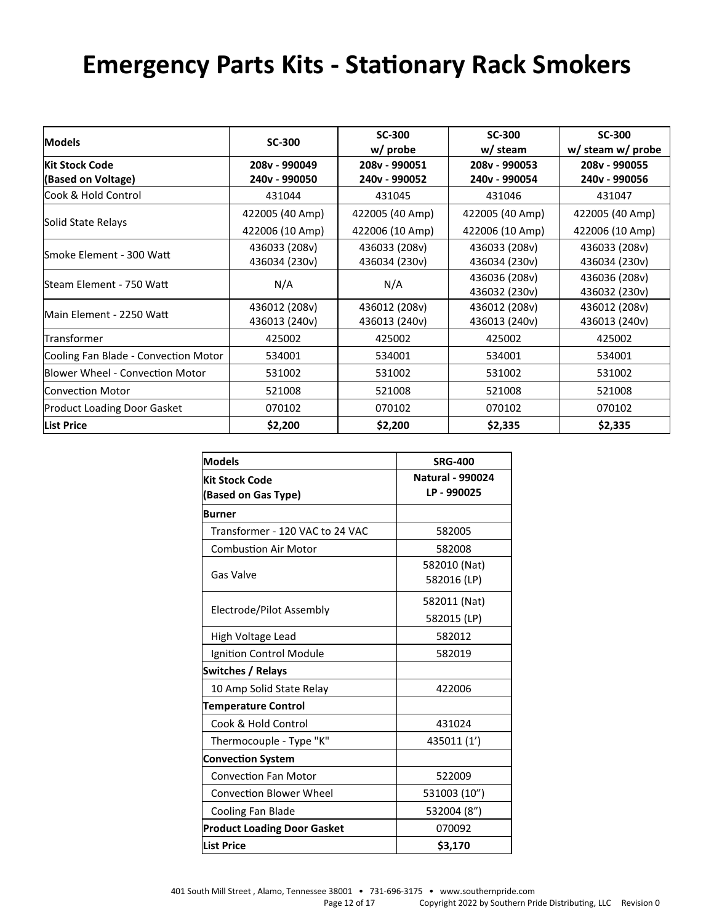# **Emergency Parts Kits - Stationary Rack Smokers**

| Models                                      | <b>SC-300</b>                  | <b>SC-300</b><br>w/ probe      | <b>SC-300</b><br>w/ steam      | <b>SC-300</b><br>w/ steam w/ probe |
|---------------------------------------------|--------------------------------|--------------------------------|--------------------------------|------------------------------------|
| <b>Kit Stock Code</b><br>(Based on Voltage) | 208v - 990049<br>240v - 990050 | 208v - 990051<br>240v - 990052 | 208v - 990053<br>240v - 990054 | 208v - 990055<br>240v - 990056     |
| Cook & Hold Control                         | 431044                         | 431045                         | 431046                         | 431047                             |
| Solid State Relays                          | 422005 (40 Amp)                | 422005 (40 Amp)                | 422005 (40 Amp)                | 422005 (40 Amp)                    |
|                                             | 422006 (10 Amp)                | 422006 (10 Amp)                | 422006 (10 Amp)                | 422006 (10 Amp)                    |
| Smoke Element - 300 Watt                    | 436033 (208v)                  | 436033 (208v)                  | 436033 (208v)                  | 436033 (208v)                      |
|                                             | 436034 (230v)                  | 436034 (230v)                  | 436034 (230v)                  | 436034 (230v)                      |
|                                             |                                |                                | 436036 (208v)                  | 436036 (208v)                      |
| lSteam Element - 750 Watt                   | N/A                            | N/A                            | 436032 (230v)                  | 436032 (230v)                      |
|                                             | 436012 (208v)                  | 436012 (208v)                  | 436012 (208v)                  | 436012 (208v)                      |
| lMain Element - 2250 Watt                   | 436013 (240v)                  | 436013 (240v)                  | 436013 (240v)                  | 436013 (240v)                      |
| Transformer                                 | 425002                         | 425002                         | 425002                         | 425002                             |
| Cooling Fan Blade - Convection Motor        | 534001                         | 534001                         | 534001                         | 534001                             |
| <b>Blower Wheel - Convection Motor</b>      | 531002                         | 531002                         | 531002                         | 531002                             |
| <b>Convection Motor</b>                     | 521008                         | 521008                         | 521008                         | 521008                             |
| <b>Product Loading Door Gasket</b>          | 070102                         | 070102                         | 070102                         | 070102                             |
| <b>List Price</b>                           | \$2,200                        | \$2,200                        | \$2,335                        | \$2,335                            |

| <b>Models</b>                      | <b>SRG-400</b>              |
|------------------------------------|-----------------------------|
| <b>Kit Stock Code</b>              | <b>Natural - 990024</b>     |
| (Based on Gas Type)                | LP-990025                   |
| <b>Burner</b>                      |                             |
| Transformer - 120 VAC to 24 VAC    | 582005                      |
| <b>Combustion Air Motor</b>        | 582008                      |
| Gas Valve                          | 582010 (Nat)<br>582016 (LP) |
|                                    | 582011 (Nat)                |
| Electrode/Pilot Assembly           | 582015 (LP)                 |
| High Voltage Lead                  | 582012                      |
| Ignition Control Module            | 582019                      |
| Switches / Relays                  |                             |
| 10 Amp Solid State Relay           | 422006                      |
| <b>Temperature Control</b>         |                             |
| Cook & Hold Control                | 431024                      |
| Thermocouple - Type "K"            | 435011 (1')                 |
| <b>Convection System</b>           |                             |
| <b>Convection Fan Motor</b>        | 522009                      |
| <b>Convection Blower Wheel</b>     | 531003 (10")                |
| Cooling Fan Blade                  | 532004 (8")                 |
| <b>Product Loading Door Gasket</b> | 070092                      |
| <b>List Price</b>                  | \$3,170                     |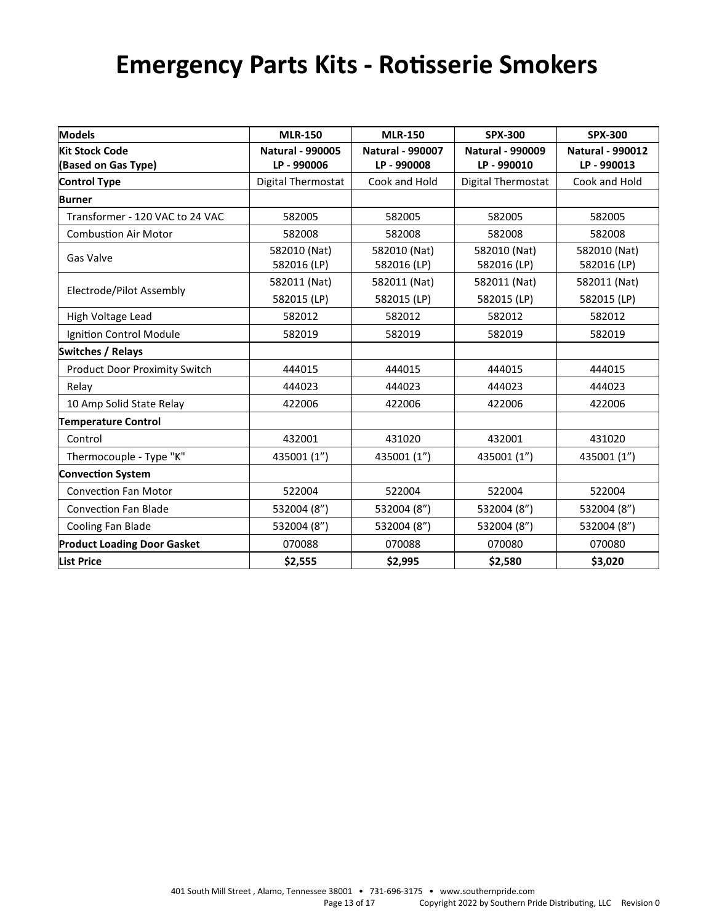# **Emergency Parts Kits - Rotisserie Smokers**

| <b>Models</b>                        | <b>MLR-150</b>              | <b>MLR-150</b>              | <b>SPX-300</b>              | <b>SPX-300</b>              |
|--------------------------------------|-----------------------------|-----------------------------|-----------------------------|-----------------------------|
| <b>Kit Stock Code</b>                | <b>Natural - 990005</b>     | <b>Natural - 990007</b>     | <b>Natural - 990009</b>     | <b>Natural - 990012</b>     |
| (Based on Gas Type)                  | LP-990006                   | LP-990008                   | LP-990010                   | LP - 990013                 |
| <b>Control Type</b>                  | <b>Digital Thermostat</b>   | Cook and Hold               | Digital Thermostat          | Cook and Hold               |
| <b>Burner</b>                        |                             |                             |                             |                             |
| Transformer - 120 VAC to 24 VAC      | 582005                      | 582005                      | 582005                      | 582005                      |
| <b>Combustion Air Motor</b>          | 582008                      | 582008                      | 582008                      | 582008                      |
| Gas Valve                            | 582010 (Nat)<br>582016 (LP) | 582010 (Nat)<br>582016 (LP) | 582010 (Nat)<br>582016 (LP) | 582010 (Nat)<br>582016 (LP) |
|                                      | 582011 (Nat)                | 582011 (Nat)                | 582011 (Nat)                | 582011 (Nat)                |
| Electrode/Pilot Assembly             | 582015 (LP)                 | 582015 (LP)                 | 582015 (LP)                 | 582015 (LP)                 |
| High Voltage Lead                    | 582012                      | 582012                      | 582012                      | 582012                      |
| Ignition Control Module              | 582019                      | 582019                      | 582019                      | 582019                      |
| <b>Switches / Relays</b>             |                             |                             |                             |                             |
| <b>Product Door Proximity Switch</b> | 444015                      | 444015                      | 444015                      | 444015                      |
| Relay                                | 444023                      | 444023                      | 444023                      | 444023                      |
| 10 Amp Solid State Relay             | 422006                      | 422006                      | 422006                      | 422006                      |
| <b>Temperature Control</b>           |                             |                             |                             |                             |
| Control                              | 432001                      | 431020                      | 432001                      | 431020                      |
| Thermocouple - Type "K"              | 435001 (1")                 | 435001 (1")                 | 435001 (1")                 | 435001 (1")                 |
| <b>Convection System</b>             |                             |                             |                             |                             |
| <b>Convection Fan Motor</b>          | 522004                      | 522004                      | 522004                      | 522004                      |
| <b>Convection Fan Blade</b>          | 532004 (8")                 | 532004 (8")                 | 532004 (8")                 | 532004 (8")                 |
| Cooling Fan Blade                    | 532004 (8")                 | 532004 (8")                 | 532004 (8")                 | 532004 (8")                 |
| <b>Product Loading Door Gasket</b>   | 070088                      | 070088                      | 070080                      | 070080                      |
| <b>List Price</b>                    | \$2,555                     | \$2,995                     | \$2,580                     | \$3,020                     |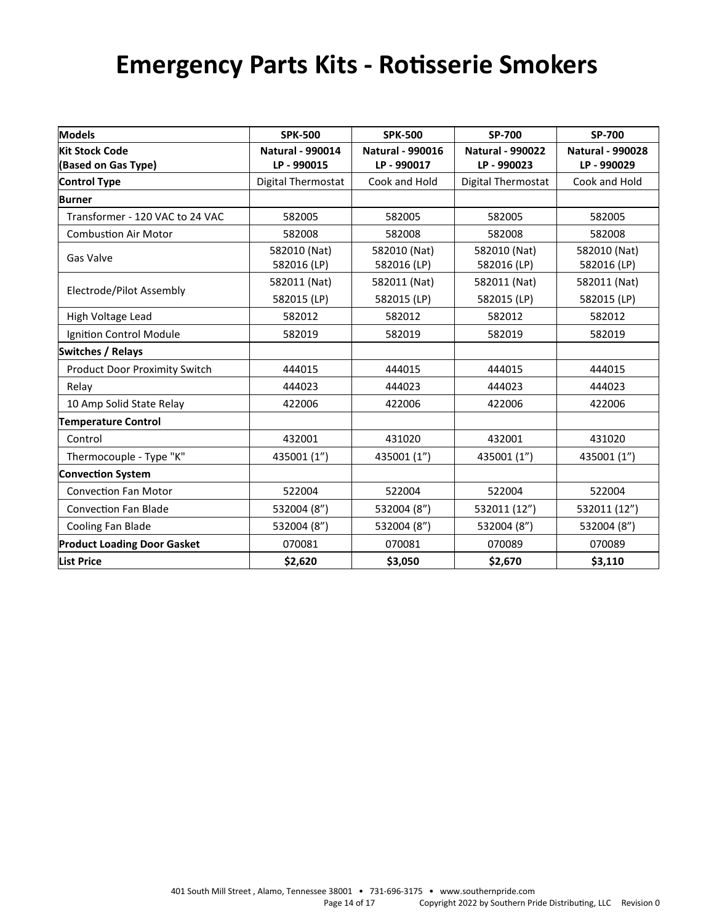# **Emergency Parts Kits - Rotisserie Smokers**

| <b>Models</b>                        | <b>SPK-500</b>              | <b>SPK-500</b>              | SP-700                      | SP-700                      |
|--------------------------------------|-----------------------------|-----------------------------|-----------------------------|-----------------------------|
| <b>Kit Stock Code</b>                | <b>Natural - 990014</b>     | <b>Natural - 990016</b>     | <b>Natural - 990022</b>     | <b>Natural - 990028</b>     |
| (Based on Gas Type)                  | LP-990015                   | LP - 990017                 | LP-990023                   | LP - 990029                 |
| <b>Control Type</b>                  | Digital Thermostat          | Cook and Hold               | Digital Thermostat          | Cook and Hold               |
| <b>Burner</b>                        |                             |                             |                             |                             |
| Transformer - 120 VAC to 24 VAC      | 582005                      | 582005                      | 582005                      | 582005                      |
| <b>Combustion Air Motor</b>          | 582008                      | 582008                      | 582008                      | 582008                      |
| Gas Valve                            | 582010 (Nat)<br>582016 (LP) | 582010 (Nat)<br>582016 (LP) | 582010 (Nat)<br>582016 (LP) | 582010 (Nat)<br>582016 (LP) |
| Electrode/Pilot Assembly             | 582011 (Nat)                | 582011 (Nat)                | 582011 (Nat)                | 582011 (Nat)                |
|                                      | 582015 (LP)                 | 582015 (LP)                 | 582015 (LP)                 | 582015 (LP)                 |
| High Voltage Lead                    | 582012                      | 582012                      | 582012                      | 582012                      |
| Ignition Control Module              | 582019                      | 582019                      | 582019                      | 582019                      |
| <b>Switches / Relays</b>             |                             |                             |                             |                             |
| <b>Product Door Proximity Switch</b> | 444015                      | 444015                      | 444015                      | 444015                      |
| Relay                                | 444023                      | 444023                      | 444023                      | 444023                      |
| 10 Amp Solid State Relay             | 422006                      | 422006                      | 422006                      | 422006                      |
| <b>Temperature Control</b>           |                             |                             |                             |                             |
| Control                              | 432001                      | 431020                      | 432001                      | 431020                      |
| Thermocouple - Type "K"              | 435001 (1")                 | 435001 (1")                 | 435001 (1")                 | 435001 (1")                 |
| <b>Convection System</b>             |                             |                             |                             |                             |
| <b>Convection Fan Motor</b>          | 522004                      | 522004                      | 522004                      | 522004                      |
| <b>Convection Fan Blade</b>          | 532004 (8")                 | 532004 (8")                 | 532011 (12")                | 532011 (12")                |
| Cooling Fan Blade                    | 532004 (8")                 | 532004 (8")                 | 532004 (8")                 | 532004 (8")                 |
| <b>Product Loading Door Gasket</b>   | 070081                      | 070081                      | 070089                      | 070089                      |
| <b>List Price</b>                    | \$2,620                     | \$3,050                     | \$2,670                     | \$3,110                     |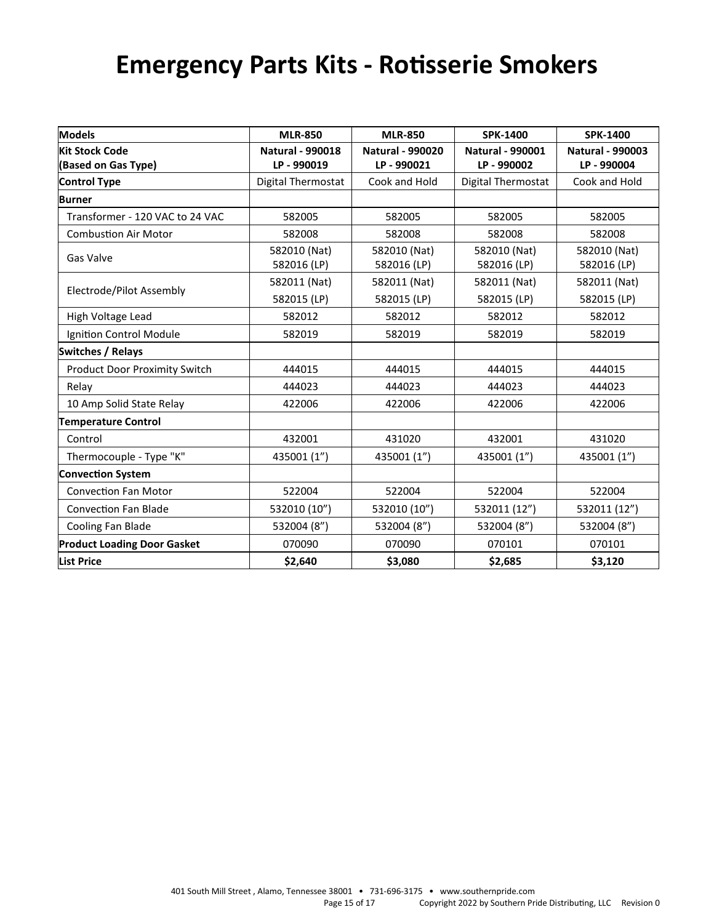# **Emergency Parts Kits - Rotisserie Smokers**

| <b>Models</b>                        | <b>MLR-850</b>              | <b>MLR-850</b>              | <b>SPK-1400</b>             | <b>SPK-1400</b>             |
|--------------------------------------|-----------------------------|-----------------------------|-----------------------------|-----------------------------|
| <b>Kit Stock Code</b>                | <b>Natural - 990018</b>     | <b>Natural - 990020</b>     | <b>Natural - 990001</b>     | <b>Natural - 990003</b>     |
| (Based on Gas Type)                  | LP-990019                   | LP-990021                   | LP - 990002                 | LP - 990004                 |
| <b>Control Type</b>                  | Digital Thermostat          | Cook and Hold               | Digital Thermostat          | Cook and Hold               |
| <b>Burner</b>                        |                             |                             |                             |                             |
| Transformer - 120 VAC to 24 VAC      | 582005                      | 582005                      | 582005                      | 582005                      |
| <b>Combustion Air Motor</b>          | 582008                      | 582008                      | 582008                      | 582008                      |
| Gas Valve                            | 582010 (Nat)<br>582016 (LP) | 582010 (Nat)<br>582016 (LP) | 582010 (Nat)<br>582016 (LP) | 582010 (Nat)<br>582016 (LP) |
| Electrode/Pilot Assembly             | 582011 (Nat)                | 582011 (Nat)                | 582011 (Nat)                | 582011 (Nat)                |
|                                      | 582015 (LP)                 | 582015 (LP)                 | 582015 (LP)                 | 582015 (LP)                 |
| High Voltage Lead                    | 582012                      | 582012                      | 582012                      | 582012                      |
| Ignition Control Module              | 582019                      | 582019                      | 582019                      | 582019                      |
| <b>Switches / Relays</b>             |                             |                             |                             |                             |
| <b>Product Door Proximity Switch</b> | 444015                      | 444015                      | 444015                      | 444015                      |
| Relay                                | 444023                      | 444023                      | 444023                      | 444023                      |
| 10 Amp Solid State Relay             | 422006                      | 422006                      | 422006                      | 422006                      |
| <b>Temperature Control</b>           |                             |                             |                             |                             |
| Control                              | 432001                      | 431020                      | 432001                      | 431020                      |
| Thermocouple - Type "K"              | 435001 (1")                 | 435001 (1")                 | 435001 (1")                 | 435001 (1")                 |
| <b>Convection System</b>             |                             |                             |                             |                             |
| <b>Convection Fan Motor</b>          | 522004                      | 522004                      | 522004                      | 522004                      |
| <b>Convection Fan Blade</b>          | 532010 (10")                | 532010 (10")                | 532011 (12")                | 532011 (12")                |
| Cooling Fan Blade                    | 532004 (8")                 | 532004 (8")                 | 532004 (8")                 | 532004 (8")                 |
| <b>Product Loading Door Gasket</b>   | 070090                      | 070090                      | 070101                      | 070101                      |
| <b>List Price</b>                    | \$2,640                     | \$3,080                     | \$2,685                     | \$3,120                     |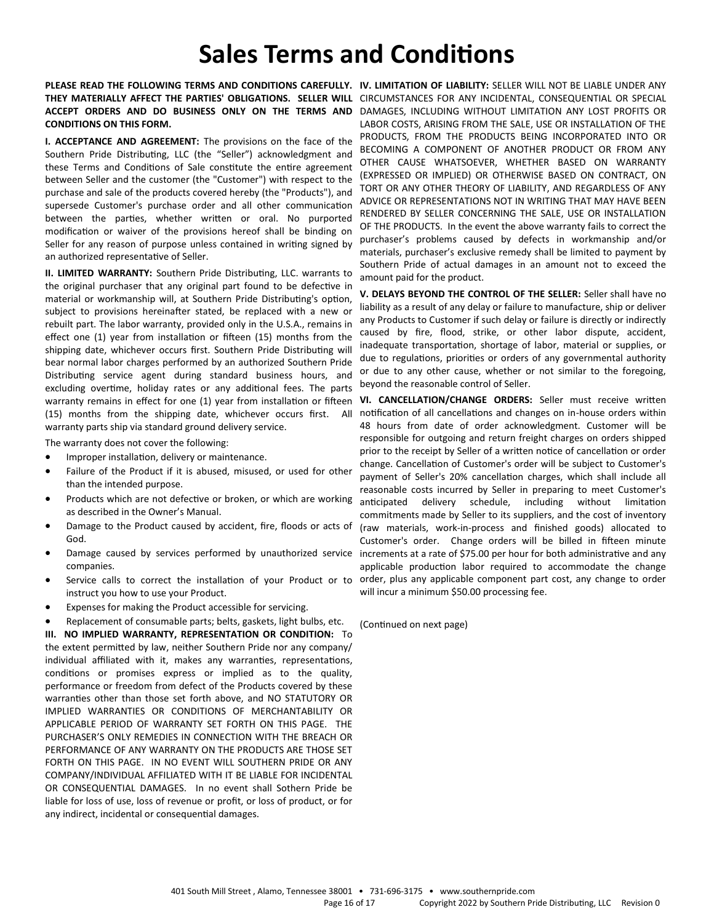## **Sales Terms and Conditions**

PLEASE READ THE FOLLOWING TERMS AND CONDITIONS CAREFULLY. IV. LIMITATION OF LIABILITY: SELLER WILL NOT BE LIABLE UNDER ANY THEY MATERIALLY AFFECT THE PARTIES' OBLIGATIONS. SELLER WILL CIRCUMSTANCES FOR ANY INCIDENTAL, CONSEQUENTIAL OR SPECIAL ACCEPT ORDERS AND DO BUSINESS ONLY ON THE TERMS AND DAMAGES, INCLUDING WITHOUT LIMITATION ANY LOST PROFITS OR **CONDITIONS ON THIS FORM.**

**I. ACCEPTANCE AND AGREEMENT:** The provisions on the face of the Southern Pride Distributing, LLC (the "Seller") acknowledgment and these Terms and Conditions of Sale constitute the entire agreement between Seller and the customer (the "Customer") with respect to the purchase and sale of the products covered hereby (the "Products"), and supersede Customer's purchase order and all other communication between the parties, whether written or oral. No purported modification or waiver of the provisions hereof shall be binding on Seller for any reason of purpose unless contained in writing signed by an authorized representative of Seller.

**II. LIMITED WARRANTY:** Southern Pride Distributing, LLC. warrants to the original purchaser that any original part found to be defective in material or workmanship will, at Southern Pride Distributing's option, subject to provisions hereinafter stated, be replaced with a new or rebuilt part. The labor warranty, provided only in the U.S.A., remains in effect one (1) year from installation or fifteen (15) months from the shipping date, whichever occurs first. Southern Pride Distributing will bear normal labor charges performed by an authorized Southern Pride Distributing service agent during standard business hours, and excluding overtime, holiday rates or any additional fees. The parts warranty remains in effect for one (1) year from installation or fifteen (15) months from the shipping date, whichever occurs first. All warranty parts ship via standard ground delivery service.

The warranty does not cover the following:

- Improper installation, delivery or maintenance.
- Failure of the Product if it is abused, misused, or used for other than the intended purpose.
- Products which are not defective or broken, or which are working as described in the Owner's Manual.
- Damage to the Product caused by accident, fire, floods or acts of God.
- Damage caused by services performed by unauthorized service companies.
- Service calls to correct the installation of your Product or to instruct you how to use your Product.
- Expenses for making the Product accessible for servicing.
- Replacement of consumable parts; belts, gaskets, light bulbs, etc.

**III. NO IMPLIED WARRANTY, REPRESENTATION OR CONDITION:** To the extent permitted by law, neither Southern Pride nor any company/ individual affiliated with it, makes any warranties, representations, conditions or promises express or implied as to the quality, performance or freedom from defect of the Products covered by these warranties other than those set forth above, and NO STATUTORY OR IMPLIED WARRANTIES OR CONDITIONS OF MERCHANTABILITY OR APPLICABLE PERIOD OF WARRANTY SET FORTH ON THIS PAGE. THE PURCHASER'S ONLY REMEDIES IN CONNECTION WITH THE BREACH OR PERFORMANCE OF ANY WARRANTY ON THE PRODUCTS ARE THOSE SET FORTH ON THIS PAGE. IN NO EVENT WILL SOUTHERN PRIDE OR ANY COMPANY/INDIVIDUAL AFFILIATED WITH IT BE LIABLE FOR INCIDENTAL OR CONSEQUENTIAL DAMAGES. In no event shall Sothern Pride be liable for loss of use, loss of revenue or profit, or loss of product, or for any indirect, incidental or consequential damages.

LABOR COSTS, ARISING FROM THE SALE, USE OR INSTALLATION OF THE PRODUCTS, FROM THE PRODUCTS BEING INCORPORATED INTO OR BECOMING A COMPONENT OF ANOTHER PRODUCT OR FROM ANY OTHER CAUSE WHATSOEVER, WHETHER BASED ON WARRANTY (EXPRESSED OR IMPLIED) OR OTHERWISE BASED ON CONTRACT, ON TORT OR ANY OTHER THEORY OF LIABILITY, AND REGARDLESS OF ANY ADVICE OR REPRESENTATIONS NOT IN WRITING THAT MAY HAVE BEEN RENDERED BY SELLER CONCERNING THE SALE, USE OR INSTALLATION OF THE PRODUCTS. In the event the above warranty fails to correct the purchaser's problems caused by defects in workmanship and/or materials, purchaser's exclusive remedy shall be limited to payment by Southern Pride of actual damages in an amount not to exceed the amount paid for the product.

**V. DELAYS BEYOND THE CONTROL OF THE SELLER:** Seller shall have no liability as a result of any delay or failure to manufacture, ship or deliver any Products to Customer if such delay or failure is directly or indirectly caused by fire, flood, strike, or other labor dispute, accident, inadequate transportation, shortage of labor, material or supplies, or due to regulations, priorities or orders of any governmental authority or due to any other cause, whether or not similar to the foregoing, beyond the reasonable control of Seller.

**VI. CANCELLATION/CHANGE ORDERS:** Seller must receive written notification of all cancellations and changes on in-house orders within 48 hours from date of order acknowledgment. Customer will be responsible for outgoing and return freight charges on orders shipped prior to the receipt by Seller of a written notice of cancellation or order change. Cancellation of Customer's order will be subject to Customer's payment of Seller's 20% cancellation charges, which shall include all reasonable costs incurred by Seller in preparing to meet Customer's anticipated delivery schedule, including without limitation commitments made by Seller to its suppliers, and the cost of inventory (raw materials, work-in-process and finished goods) allocated to Customer's order. Change orders will be billed in fifteen minute increments at a rate of \$75.00 per hour for both administrative and any applicable production labor required to accommodate the change order, plus any applicable component part cost, any change to order will incur a minimum \$50.00 processing fee.

(Continued on next page)